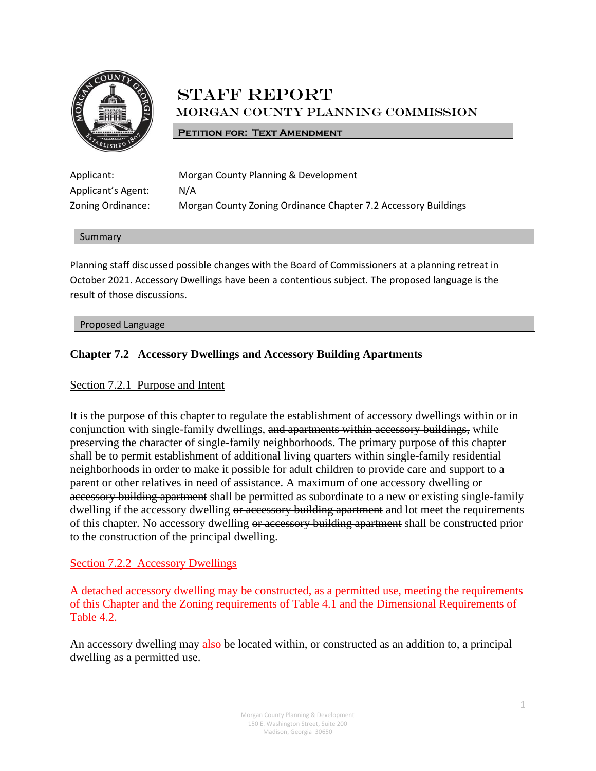

# STAFF REPORT Morgan County Planning Commission

**PETITION FOR: TEXT AMENDMENT** 

| Applicant:         | Morgan County Planning & Development                           |
|--------------------|----------------------------------------------------------------|
| Applicant's Agent: | N/A                                                            |
| Zoning Ordinance:  | Morgan County Zoning Ordinance Chapter 7.2 Accessory Buildings |

#### Summary

Planning staff discussed possible changes with the Board of Commissioners at a planning retreat in October 2021. Accessory Dwellings have been a contentious subject. The proposed language is the result of those discussions.

### Proposed Language

# **Chapter 7.2 Accessory Dwellings and Accessory Building Apartments**

# Section 7.2.1 Purpose and Intent

It is the purpose of this chapter to regulate the establishment of accessory dwellings within or in conjunction with single-family dwellings, and apartments within accessory buildings, while preserving the character of single-family neighborhoods. The primary purpose of this chapter shall be to permit establishment of additional living quarters within single-family residential neighborhoods in order to make it possible for adult children to provide care and support to a parent or other relatives in need of assistance. A maximum of one accessory dwelling or accessory building apartment shall be permitted as subordinate to a new or existing single-family dwelling if the accessory dwelling or accessory building apartment and lot meet the requirements of this chapter. No accessory dwelling or accessory building apartment shall be constructed prior to the construction of the principal dwelling.

# Section 7.2.2 Accessory Dwellings

A detached accessory dwelling may be constructed, as a permitted use, meeting the requirements of this Chapter and the Zoning requirements of Table 4.1 and the Dimensional Requirements of Table 4.2.

An accessory dwelling may also be located within, or constructed as an addition to, a principal dwelling as a permitted use.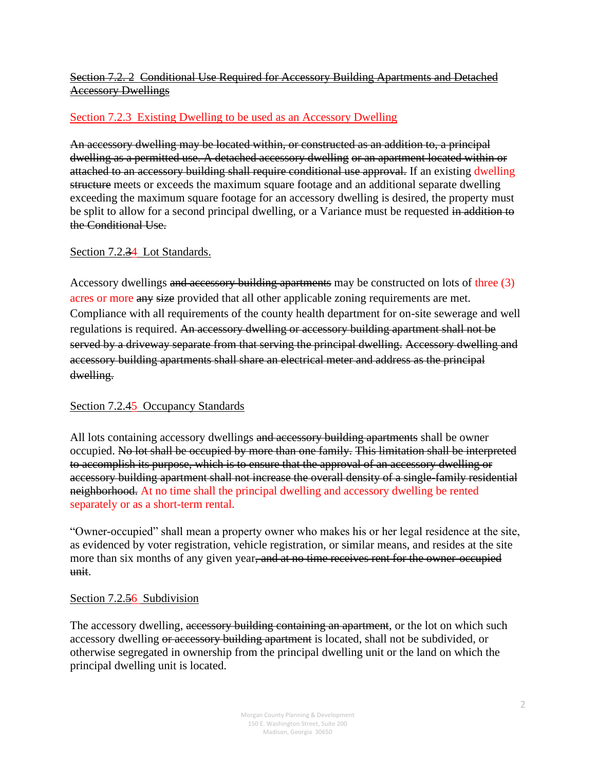# Section 7.2. 2 Conditional Use Required for Accessory Building Apartments and Detached Accessory Dwellings

# Section 7.2.3 Existing Dwelling to be used as an Accessory Dwelling

An accessory dwelling may be located within, or constructed as an addition to, a principal dwelling as a permitted use. A detached accessory dwelling or an apartment located within or attached to an accessory building shall require conditional use approval. If an existing dwelling structure meets or exceeds the maximum square footage and an additional separate dwelling exceeding the maximum square footage for an accessory dwelling is desired, the property must be split to allow for a second principal dwelling, or a Variance must be requested in addition to the Conditional Use.

# Section 7.2.34 Lot Standards.

Accessory dwellings and accessory building apartments may be constructed on lots of three (3) acres or more any size provided that all other applicable zoning requirements are met. Compliance with all requirements of the county health department for on-site sewerage and well regulations is required. An accessory dwelling or accessory building apartment shall not be served by a driveway separate from that serving the principal dwelling. Accessory dwelling and accessory building apartments shall share an electrical meter and address as the principal dwelling.

# Section 7.2.45 Occupancy Standards

All lots containing accessory dwellings and accessory building apartments shall be owner occupied. No lot shall be occupied by more than one family. This limitation shall be interpreted to accomplish its purpose, which is to ensure that the approval of an accessory dwelling or accessory building apartment shall not increase the overall density of a single-family residential neighborhood. At no time shall the principal dwelling and accessory dwelling be rented separately or as a short-term rental.

"Owner-occupied" shall mean a property owner who makes his or her legal residence at the site, as evidenced by voter registration, vehicle registration, or similar means, and resides at the site more than six months of any given year, and at no time receives rent for the owner-occupied unit.

# Section 7.2.56 Subdivision

The accessory dwelling, accessory building containing an apartment, or the lot on which such accessory dwelling or accessory building apartment is located, shall not be subdivided, or otherwise segregated in ownership from the principal dwelling unit or the land on which the principal dwelling unit is located.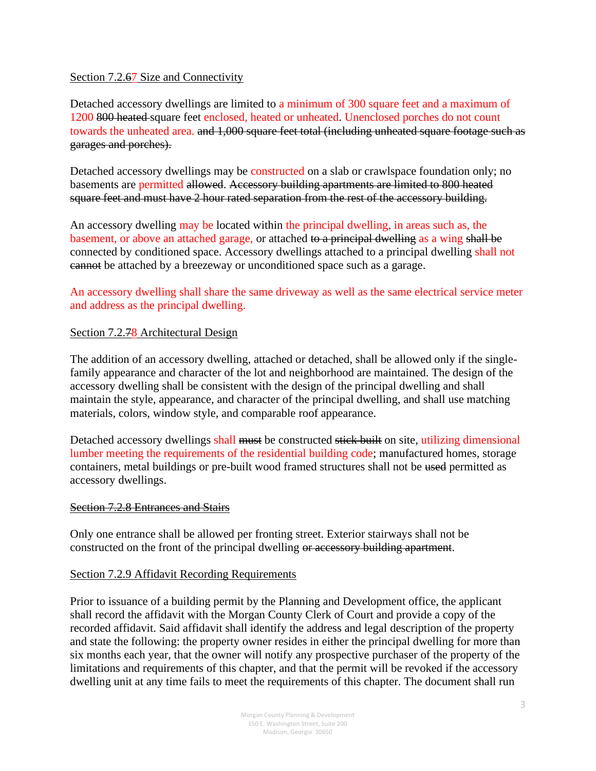# Section 7.2.67 Size and Connectivity

Detached accessory dwellings are limited to a minimum of 300 square feet and a maximum of 1200 800 heated square feet enclosed, heated or unheated. Unenclosed porches do not count towards the unheated area. and 1,000 square feet total (including unheated square footage such as garages and porches).

Detached accessory dwellings may be constructed on a slab or crawlspace foundation only; no basements are permitted allowed. Accessory building apartments are limited to 800 heated square feet and must have 2 hour rated separation from the rest of the accessory building.

An accessory dwelling may be located within the principal dwelling, in areas such as, the basement, or above an attached garage, or attached to a principal dwelling as a wing shall be connected by conditioned space. Accessory dwellings attached to a principal dwelling shall not cannot be attached by a breezeway or unconditioned space such as a garage.

An accessory dwelling shall share the same driveway as well as the same electrical service meter and address as the principal dwelling.

# Section 7.2.<del>7</del>8 Architectural Design

The addition of an accessory dwelling, attached or detached, shall be allowed only if the singlefamily appearance and character of the lot and neighborhood are maintained. The design of the accessory dwelling shall be consistent with the design of the principal dwelling and shall maintain the style, appearance, and character of the principal dwelling, and shall use matching materials, colors, window style, and comparable roof appearance.

Detached accessory dwellings shall must be constructed stick built on site, utilizing dimensional lumber meeting the requirements of the residential building code; manufactured homes, storage containers, metal buildings or pre-built wood framed structures shall not be used permitted as accessory dwellings.

### Section 7.2.8 Entrances and Stairs

Only one entrance shall be allowed per fronting street. Exterior stairways shall not be constructed on the front of the principal dwelling or accessory building apartment.

### Section 7.2.9 Affidavit Recording Requirements

Prior to issuance of a building permit by the Planning and Development office, the applicant shall record the affidavit with the Morgan County Clerk of Court and provide a copy of the recorded affidavit. Said affidavit shall identify the address and legal description of the property and state the following: the property owner resides in either the principal dwelling for more than six months each year, that the owner will notify any prospective purchaser of the property of the limitations and requirements of this chapter, and that the permit will be revoked if the accessory dwelling unit at any time fails to meet the requirements of this chapter. The document shall run